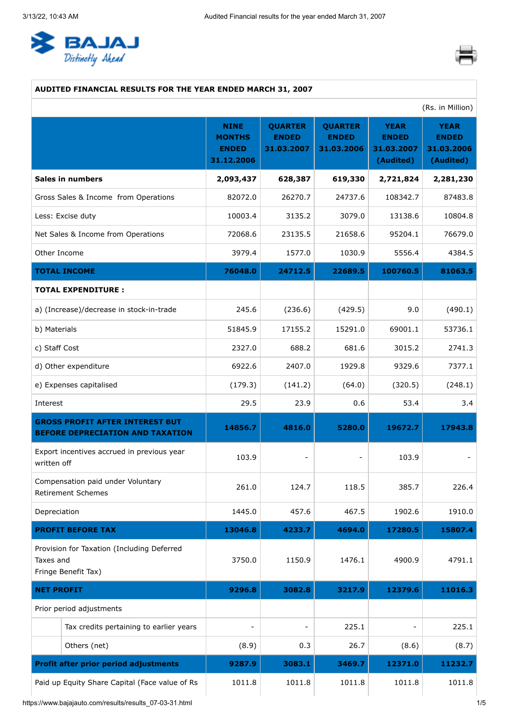<span id="page-0-0"></span>



### **AUDITED FINANCIAL RESULTS FOR THE YEAR ENDED MARCH 31, 2007**

|                                                                                   | (Rs. in Million)                                           |                                              |                                              |                                                        |                                                        |
|-----------------------------------------------------------------------------------|------------------------------------------------------------|----------------------------------------------|----------------------------------------------|--------------------------------------------------------|--------------------------------------------------------|
|                                                                                   | <b>NINE</b><br><b>MONTHS</b><br><b>ENDED</b><br>31.12.2006 | <b>QUARTER</b><br><b>ENDED</b><br>31.03.2007 | <b>QUARTER</b><br><b>ENDED</b><br>31.03.2006 | <b>YEAR</b><br><b>ENDED</b><br>31.03.2007<br>(Audited) | <b>YEAR</b><br><b>ENDED</b><br>31.03.2006<br>(Audited) |
| <b>Sales in numbers</b>                                                           | 2,093,437                                                  | 628,387                                      | 619,330                                      | 2,721,824                                              | 2,281,230                                              |
| Gross Sales & Income from Operations                                              | 82072.0                                                    | 26270.7                                      | 24737.6                                      | 108342.7                                               | 87483.8                                                |
| Less: Excise duty                                                                 | 10003.4                                                    | 3135.2                                       | 3079.0                                       | 13138.6                                                | 10804.8                                                |
| Net Sales & Income from Operations                                                | 72068.6                                                    | 23135.5                                      | 21658.6                                      | 95204.1                                                | 76679.0                                                |
| Other Income                                                                      | 3979.4                                                     | 1577.0                                       | 1030.9                                       | 5556.4                                                 | 4384.5                                                 |
| <b>TOTAL INCOME</b>                                                               | 76048.0                                                    | 24712.5                                      | 22689.5                                      | 100760.5                                               | 81063.5                                                |
| <b>TOTAL EXPENDITURE:</b>                                                         |                                                            |                                              |                                              |                                                        |                                                        |
| a) (Increase)/decrease in stock-in-trade                                          | 245.6                                                      | (236.6)                                      | (429.5)                                      | 9.0                                                    | (490.1)                                                |
| b) Materials                                                                      | 51845.9                                                    | 17155.2                                      | 15291.0                                      | 69001.1                                                | 53736.1                                                |
| c) Staff Cost                                                                     | 2327.0                                                     | 688.2                                        | 681.6                                        | 3015.2                                                 | 2741.3                                                 |
| d) Other expenditure                                                              | 6922.6                                                     | 2407.0                                       | 1929.8                                       | 9329.6                                                 | 7377.1                                                 |
| e) Expenses capitalised                                                           | (179.3)                                                    | (141.2)                                      | (64.0)                                       | (320.5)                                                | (248.1)                                                |
| Interest                                                                          | 29.5                                                       | 23.9                                         | 0.6                                          | 53.4                                                   | 3.4                                                    |
| <b>GROSS PROFIT AFTER INTEREST BUT</b><br><b>BEFORE DEPRECIATION AND TAXATION</b> | 14856.7                                                    | 4816.0                                       | 5280.0                                       | 19672.7                                                | 17943.8                                                |
| Export incentives accrued in previous year<br>written off                         | 103.9                                                      | $\overline{\phantom{0}}$                     |                                              | 103.9                                                  |                                                        |
| Compensation paid under Voluntary<br><b>Retirement Schemes</b>                    | 261.0                                                      | 124.7                                        | 118.5                                        | 385.7                                                  | 226.4                                                  |
| Depreciation                                                                      | 1445.0                                                     | 457.6                                        | 467.5                                        | 1902.6                                                 | 1910.0                                                 |
| <b>PROFIT BEFORE TAX</b>                                                          | 13046.8                                                    | 4233.7                                       | 4694.0                                       | 17280.5                                                | 15807.4                                                |
| Provision for Taxation (Including Deferred<br>Taxes and<br>Fringe Benefit Tax)    | 3750.0                                                     | 1150.9                                       | 1476.1                                       | 4900.9                                                 | 4791.1                                                 |
| <b>NET PROFIT</b>                                                                 | 9296.8                                                     | 3082.8                                       | 3217.9                                       | 12379.6                                                | 11016.3                                                |
| Prior period adjustments                                                          |                                                            |                                              |                                              |                                                        |                                                        |
| Tax credits pertaining to earlier years                                           |                                                            | $\overline{\phantom{0}}$                     | 225.1                                        |                                                        | 225.1                                                  |
| Others (net)                                                                      | (8.9)                                                      | 0.3                                          | 26.7                                         | (8.6)                                                  | (8.7)                                                  |
| <b>Profit after prior period adjustments</b>                                      | 9287.9                                                     | 3083.1                                       | 3469.7                                       | 12371.0                                                | 11232.7                                                |
| Paid up Equity Share Capital (Face value of Rs                                    | 1011.8                                                     | 1011.8                                       | 1011.8                                       | 1011.8                                                 | 1011.8                                                 |

https://www.bajajauto.com/results/results\_07-03-31.html 1/5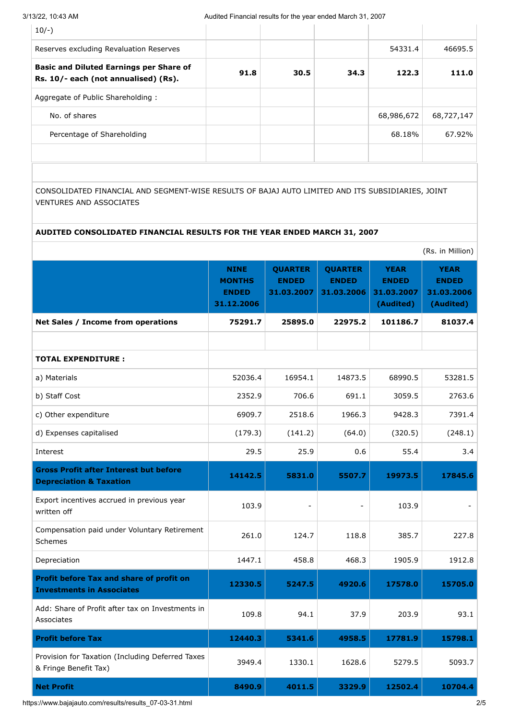| $10/-$ )                                                                               |      |      |      |            |            |
|----------------------------------------------------------------------------------------|------|------|------|------------|------------|
| Reserves excluding Revaluation Reserves                                                |      |      |      | 54331.4    | 46695.5    |
| <b>Basic and Diluted Earnings per Share of</b><br>Rs. 10/- each (not annualised) (Rs). | 91.8 | 30.5 | 34.3 | 122.3      | 111.0      |
| Aggregate of Public Shareholding:                                                      |      |      |      |            |            |
| No. of shares                                                                          |      |      |      | 68,986,672 | 68,727,147 |
| Percentage of Shareholding                                                             |      |      |      | 68.18%     | 67.92%     |
|                                                                                        |      |      |      |            |            |

CONSOLIDATED FINANCIAL AND SEGMENT-WISE RESULTS OF BAJAJ AUTO LIMITED AND ITS SUBSIDIARIES, JOINT VENTURES AND ASSOCIATES

#### **AUDITED CONSOLIDATED FINANCIAL RESULTS FOR THE YEAR ENDED MARCH 31, 2007**

|                                                                                     |                                                            |                                              |                                              |                                                        | (Rs. in Million)                                       |
|-------------------------------------------------------------------------------------|------------------------------------------------------------|----------------------------------------------|----------------------------------------------|--------------------------------------------------------|--------------------------------------------------------|
|                                                                                     | <b>NINE</b><br><b>MONTHS</b><br><b>ENDED</b><br>31.12.2006 | <b>QUARTER</b><br><b>ENDED</b><br>31.03.2007 | <b>QUARTER</b><br><b>ENDED</b><br>31.03.2006 | <b>YEAR</b><br><b>ENDED</b><br>31.03.2007<br>(Audited) | <b>YEAR</b><br><b>ENDED</b><br>31.03.2006<br>(Audited) |
| Net Sales / Income from operations                                                  | 75291.7                                                    | 25895.0                                      | 22975.2                                      | 101186.7                                               | 81037.4                                                |
|                                                                                     |                                                            |                                              |                                              |                                                        |                                                        |
| <b>TOTAL EXPENDITURE:</b>                                                           |                                                            |                                              |                                              |                                                        |                                                        |
| a) Materials                                                                        | 52036.4                                                    | 16954.1                                      | 14873.5                                      | 68990.5                                                | 53281.5                                                |
| b) Staff Cost                                                                       | 2352.9                                                     | 706.6                                        | 691.1                                        | 3059.5                                                 | 2763.6                                                 |
| c) Other expenditure                                                                | 6909.7                                                     | 2518.6                                       | 1966.3                                       | 9428.3                                                 | 7391.4                                                 |
| d) Expenses capitalised                                                             | (179.3)                                                    | (141.2)                                      | (64.0)                                       | (320.5)                                                | (248.1)                                                |
| Interest                                                                            | 29.5                                                       | 25.9                                         | 0.6                                          | 55.4                                                   | 3.4                                                    |
| <b>Gross Profit after Interest but before</b><br><b>Depreciation &amp; Taxation</b> | 14142.5                                                    | 5831.0                                       | 5507.7                                       | 19973.5                                                | 17845.6                                                |
| Export incentives accrued in previous year<br>written off                           | 103.9                                                      |                                              |                                              | 103.9                                                  |                                                        |
| Compensation paid under Voluntary Retirement<br>Schemes                             | 261.0                                                      | 124.7                                        | 118.8                                        | 385.7                                                  | 227.8                                                  |
| Depreciation                                                                        | 1447.1                                                     | 458.8                                        | 468.3                                        | 1905.9                                                 | 1912.8                                                 |
| Profit before Tax and share of profit on<br><b>Investments in Associates</b>        | 12330.5                                                    | 5247.5                                       | 4920.6                                       | 17578.0                                                | 15705.0                                                |
| Add: Share of Profit after tax on Investments in<br>Associates                      | 109.8                                                      | 94.1                                         | 37.9                                         | 203.9                                                  | 93.1                                                   |
| <b>Profit before Tax</b>                                                            | 12440.3                                                    | 5341.6                                       | 4958.5                                       | 17781.9                                                | 15798.1                                                |
| Provision for Taxation (Including Deferred Taxes<br>& Fringe Benefit Tax)           | 3949.4                                                     | 1330.1                                       | 1628.6                                       | 5279.5                                                 | 5093.7                                                 |
| <b>Net Profit</b>                                                                   | 8490.9                                                     | 4011.5                                       | 3329.9                                       | 12502.4                                                | 10704.4                                                |

https://www.bajajauto.com/results/results\_07-03-31.html 2/5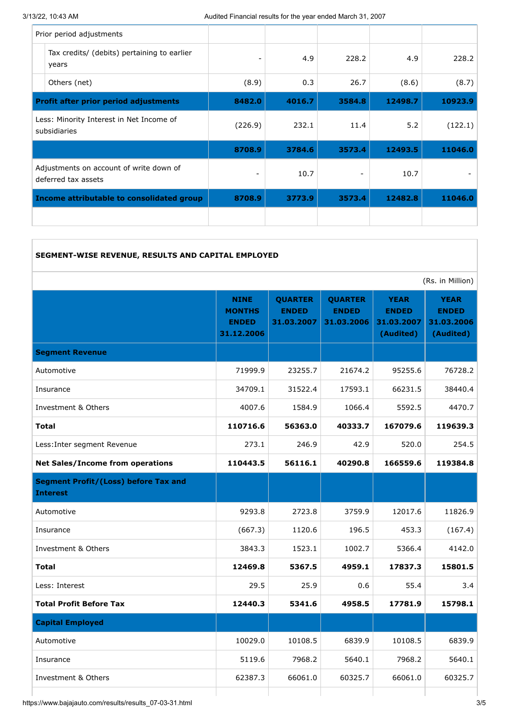| Prior period adjustments                                       |         |        |        |         |         |
|----------------------------------------------------------------|---------|--------|--------|---------|---------|
| Tax credits/ (debits) pertaining to earlier<br>years           |         | 4.9    | 228.2  | 4.9     | 228.2   |
| Others (net)                                                   | (8.9)   | 0.3    | 26.7   | (8.6)   | (8.7)   |
| <b>Profit after prior period adjustments</b>                   | 8482.0  | 4016.7 | 3584.8 | 12498.7 | 10923.9 |
| Less: Minority Interest in Net Income of<br>subsidiaries       | (226.9) | 232.1  | 11.4   | 5.2     | (122.1) |
|                                                                | 8708.9  | 3784.6 | 3573.4 | 12493.5 | 11046.0 |
| Adjustments on account of write down of<br>deferred tax assets |         | 10.7   |        | 10.7    |         |
| Income attributable to consolidated group                      | 8708.9  | 3773.9 | 3573.4 | 12482.8 | 11046.0 |
|                                                                |         |        |        |         |         |

| SEGMENT-WISE REVENUE, RESULTS AND CAPITAL EMPLOYED |  |  |
|----------------------------------------------------|--|--|
|                                                    |  |  |

|                                                                | (Rs. in Million)                                           |                                              |                                              |                                                        |                                                        |
|----------------------------------------------------------------|------------------------------------------------------------|----------------------------------------------|----------------------------------------------|--------------------------------------------------------|--------------------------------------------------------|
|                                                                | <b>NINE</b><br><b>MONTHS</b><br><b>ENDED</b><br>31.12.2006 | <b>QUARTER</b><br><b>ENDED</b><br>31.03.2007 | <b>QUARTER</b><br><b>ENDED</b><br>31.03.2006 | <b>YEAR</b><br><b>ENDED</b><br>31.03.2007<br>(Audited) | <b>YEAR</b><br><b>ENDED</b><br>31.03.2006<br>(Audited) |
| <b>Segment Revenue</b>                                         |                                                            |                                              |                                              |                                                        |                                                        |
| Automotive                                                     | 71999.9                                                    | 23255.7                                      | 21674.2                                      | 95255.6                                                | 76728.2                                                |
| Insurance                                                      | 34709.1                                                    | 31522.4                                      | 17593.1                                      | 66231.5                                                | 38440.4                                                |
| Investment & Others                                            | 4007.6                                                     | 1584.9                                       | 1066.4                                       | 5592.5                                                 | 4470.7                                                 |
| <b>Total</b>                                                   | 110716.6                                                   | 56363.0                                      | 40333.7                                      | 167079.6                                               | 119639.3                                               |
| Less: Inter segment Revenue                                    | 273.1                                                      | 246.9                                        | 42.9                                         | 520.0                                                  | 254.5                                                  |
| <b>Net Sales/Income from operations</b>                        | 110443.5                                                   | 56116.1                                      | 40290.8                                      | 166559.6                                               | 119384.8                                               |
| <b>Segment Profit/(Loss) before Tax and</b><br><b>Interest</b> |                                                            |                                              |                                              |                                                        |                                                        |
| Automotive                                                     | 9293.8                                                     | 2723.8                                       | 3759.9                                       | 12017.6                                                | 11826.9                                                |
| Insurance                                                      | (667.3)                                                    | 1120.6                                       | 196.5                                        | 453.3                                                  | (167.4)                                                |
| Investment & Others                                            | 3843.3                                                     | 1523.1                                       | 1002.7                                       | 5366.4                                                 | 4142.0                                                 |
| <b>Total</b>                                                   | 12469.8                                                    | 5367.5                                       | 4959.1                                       | 17837.3                                                | 15801.5                                                |
| Less: Interest                                                 | 29.5                                                       | 25.9                                         | 0.6                                          | 55.4                                                   | 3.4                                                    |
| <b>Total Profit Before Tax</b>                                 | 12440.3                                                    | 5341.6                                       | 4958.5                                       | 17781.9                                                | 15798.1                                                |
| <b>Capital Employed</b>                                        |                                                            |                                              |                                              |                                                        |                                                        |
| Automotive                                                     | 10029.0                                                    | 10108.5                                      | 6839.9                                       | 10108.5                                                | 6839.9                                                 |
| Insurance                                                      | 5119.6                                                     | 7968.2                                       | 5640.1                                       | 7968.2                                                 | 5640.1                                                 |
| Investment & Others                                            | 62387.3                                                    | 66061.0                                      | 60325.7                                      | 66061.0                                                | 60325.7                                                |
|                                                                |                                                            |                                              |                                              |                                                        |                                                        |

https://www.bajajauto.com/results/results\_07-03-31.html 3/5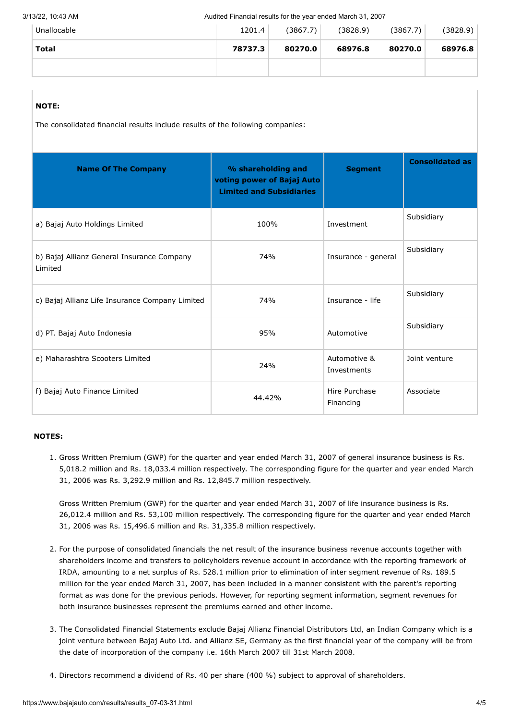| Unallocable | 1201.4  | (3867.7) | (3828.9) | (3867.7) | (3828.9) |
|-------------|---------|----------|----------|----------|----------|
| Total       | 78737.3 | 80270.0  | 68976.8  | 80270.0  | 68976.8  |
|             |         |          |          |          |          |

# **NOTE:**

The consolidated financial results include results of the following companies:

| <b>Name Of The Company</b>                            | % shareholding and<br>voting power of Bajaj Auto<br><b>Limited and Subsidiaries</b> | <b>Segment</b>              | <b>Consolidated as</b> |
|-------------------------------------------------------|-------------------------------------------------------------------------------------|-----------------------------|------------------------|
| a) Bajaj Auto Holdings Limited                        | 100%                                                                                | Investment                  | Subsidiary             |
| b) Bajaj Allianz General Insurance Company<br>Limited | 74%                                                                                 | Insurance - general         | Subsidiary             |
| c) Bajaj Allianz Life Insurance Company Limited       | 74%                                                                                 | Insurance - life            | Subsidiary             |
| d) PT. Bajaj Auto Indonesia                           | 95%                                                                                 | Automotive                  | Subsidiary             |
| e) Maharashtra Scooters Limited                       | 24%                                                                                 | Automotive &<br>Investments | Joint venture          |
| f) Bajaj Auto Finance Limited                         | 44.42%                                                                              | Hire Purchase<br>Financing  | Associate              |

#### **NOTES:**

1. Gross Written Premium (GWP) for the quarter and year ended March 31, 2007 of general insurance business is Rs. 5,018.2 million and Rs. 18,033.4 million respectively. The corresponding figure for the quarter and year ended March 31, 2006 was Rs. 3,292.9 million and Rs. 12,845.7 million respectively.

Gross Written Premium (GWP) for the quarter and year ended March 31, 2007 of life insurance business is Rs. 26,012.4 million and Rs. 53,100 million respectively. The corresponding figure for the quarter and year ended March 31, 2006 was Rs. 15,496.6 million and Rs. 31,335.8 million respectively.

- 2. For the purpose of consolidated financials the net result of the insurance business revenue accounts together with shareholders income and transfers to policyholders revenue account in accordance with the reporting framework of IRDA, amounting to a net surplus of Rs. 528.1 million prior to elimination of inter segment revenue of Rs. 189.5 million for the year ended March 31, 2007, has been included in a manner consistent with the parent's reporting format as was done for the previous periods. However, for reporting segment information, segment revenues for both insurance businesses represent the premiums earned and other income.
- 3. The Consolidated Financial Statements exclude Bajaj Allianz Financial Distributors Ltd, an Indian Company which is a joint venture between Bajaj Auto Ltd. and Allianz SE, Germany as the first financial year of the company will be from the date of incorporation of the company i.e. 16th March 2007 till 31st March 2008.
- 4. Directors recommend a dividend of Rs. 40 per share (400 %) subject to approval of shareholders.